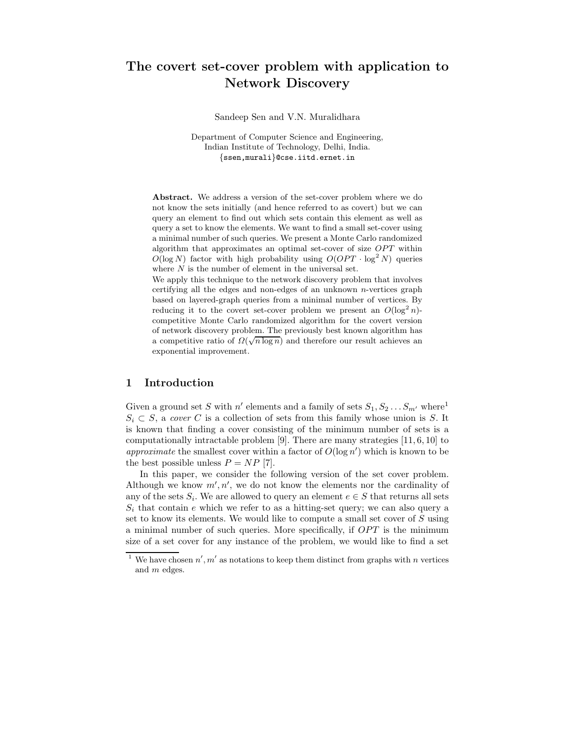# The covert set-cover problem with application to Network Discovery

Sandeep Sen and V.N. Muralidhara

Department of Computer Science and Engineering, Indian Institute of Technology, Delhi, India. {ssen,murali}@cse.iitd.ernet.in

Abstract. We address a version of the set-cover problem where we do not know the sets initially (and hence referred to as covert) but we can query an element to find out which sets contain this element as well as query a set to know the elements. We want to find a small set-cover using a minimal number of such queries. We present a Monte Carlo randomized algorithm that approximates an optimal set-cover of size  $OPT$  within  $O(\log N)$  factor with high probability using  $O(OPT \cdot \log^2 N)$  queries where  $N$  is the number of element in the universal set.

We apply this technique to the network discovery problem that involves certifying all the edges and non-edges of an unknown  $n$ -vertices graph based on layered-graph queries from a minimal number of vertices. By reducing it to the covert set-cover problem we present an  $O(\log^2 n)$ competitive Monte Carlo randomized algorithm for the covert version of network discovery problem. The previously best known algorithm has a competitive ratio of  $\Omega(\sqrt{n \log n})$  and therefore our result achieves an exponential improvement.

# 1 Introduction

Given a ground set S with  $n'$  elements and a family of sets  $S_1, S_2 \ldots S_{m'}$  where<sup>1</sup>  $S_i \subset S$ , a cover C is a collection of sets from this family whose union is S. It is known that finding a cover consisting of the minimum number of sets is a computationally intractable problem [9]. There are many strategies [11, 6, 10] to approximate the smallest cover within a factor of  $O(\log n')$  which is known to be the best possible unless  $P = NP$  [7].

In this paper, we consider the following version of the set cover problem. Although we know  $m', n'$ , we do not know the elements nor the cardinality of any of the sets  $S_i$ . We are allowed to query an element  $e \in S$  that returns all sets  $S_i$  that contain e which we refer to as a hitting-set query; we can also query a set to know its elements. We would like to compute a small set cover of S using a minimal number of such queries. More specifically, if  $OPT$  is the minimum size of a set cover for any instance of the problem, we would like to find a set

<sup>&</sup>lt;sup>1</sup> We have chosen  $n', m'$  as notations to keep them distinct from graphs with n vertices and m edges.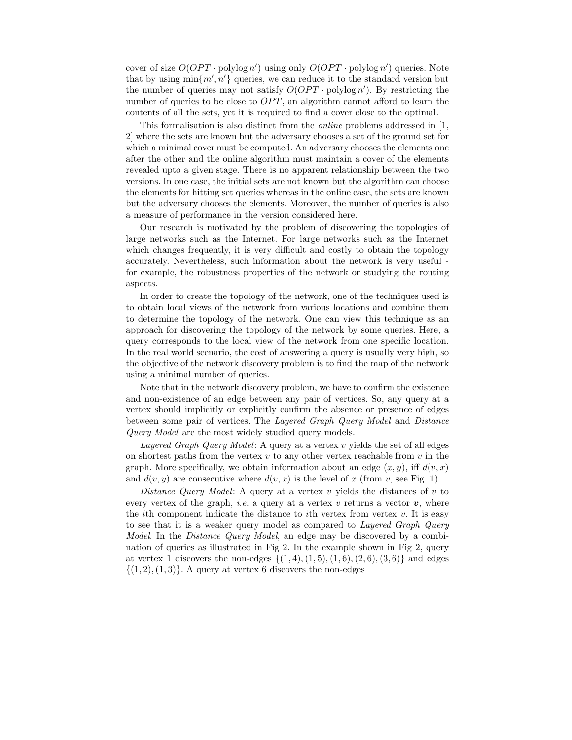cover of size  $O(OPT \cdot \text{polylog } n')$  using only  $O(OPT \cdot \text{polylog } n')$  queries. Note that by using  $\min\{m', n'\}$  queries, we can reduce it to the standard version but the number of queries may not satisfy  $O(OPT \cdot \text{polylog } n')$ . By restricting the number of queries to be close to  $OPT$ , an algorithm cannot afford to learn the contents of all the sets, yet it is required to find a cover close to the optimal.

This formalisation is also distinct from the online problems addressed in [1, 2] where the sets are known but the adversary chooses a set of the ground set for which a minimal cover must be computed. An adversary chooses the elements one after the other and the online algorithm must maintain a cover of the elements revealed upto a given stage. There is no apparent relationship between the two versions. In one case, the initial sets are not known but the algorithm can choose the elements for hitting set queries whereas in the online case, the sets are known but the adversary chooses the elements. Moreover, the number of queries is also a measure of performance in the version considered here.

Our research is motivated by the problem of discovering the topologies of large networks such as the Internet. For large networks such as the Internet which changes frequently, it is very difficult and costly to obtain the topology accurately. Nevertheless, such information about the network is very useful for example, the robustness properties of the network or studying the routing aspects.

In order to create the topology of the network, one of the techniques used is to obtain local views of the network from various locations and combine them to determine the topology of the network. One can view this technique as an approach for discovering the topology of the network by some queries. Here, a query corresponds to the local view of the network from one specific location. In the real world scenario, the cost of answering a query is usually very high, so the objective of the network discovery problem is to find the map of the network using a minimal number of queries.

Note that in the network discovery problem, we have to confirm the existence and non-existence of an edge between any pair of vertices. So, any query at a vertex should implicitly or explicitly confirm the absence or presence of edges between some pair of vertices. The Layered Graph Query Model and Distance Query Model are the most widely studied query models.

Layered Graph Query Model: A query at a vertex  $v$  yields the set of all edges on shortest paths from the vertex v to any other vertex reachable from  $v$  in the graph. More specifically, we obtain information about an edge  $(x, y)$ , iff  $d(v, x)$ and  $d(v, y)$  are consecutive where  $d(v, x)$  is the level of x (from v, see Fig. 1).

Distance Query Model: A query at a vertex  $v$  yields the distances of  $v$  to every vertex of the graph, *i.e.* a query at a vertex v returns a vector  $v$ , where the *i*th component indicate the distance to *i*th vertex from vertex  $v$ . It is easy to see that it is a weaker query model as compared to Layered Graph Query Model. In the Distance Query Model, an edge may be discovered by a combination of queries as illustrated in Fig 2. In the example shown in Fig 2, query at vertex 1 discovers the non-edges  $\{(1, 4), (1, 5), (1, 6), (2, 6), (3, 6)\}\)$  and edges  $\{(1, 2), (1, 3)\}\.$  A query at vertex 6 discovers the non-edges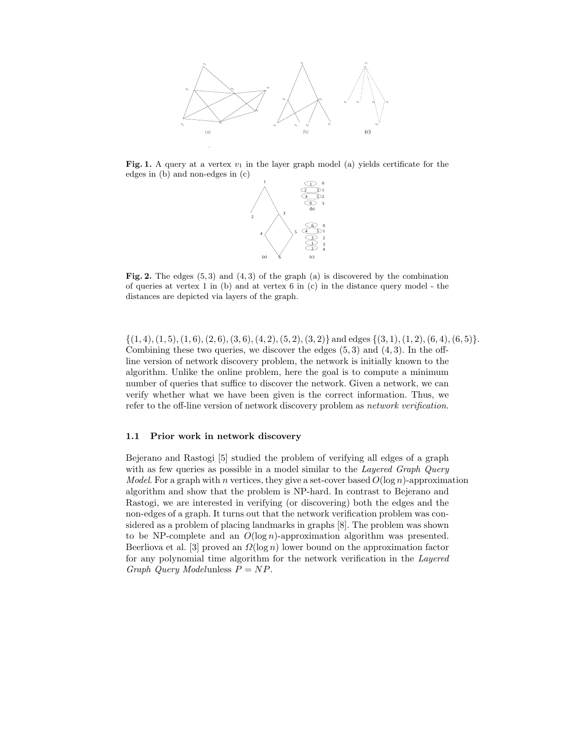

Fig. 1. A query at a vertex  $v_1$  in the layer graph model (a) yields certificate for the edges in (b) and non-edges in (c)



Fig. 2. The edges  $(5,3)$  and  $(4,3)$  of the graph (a) is discovered by the combination of queries at vertex 1 in (b) and at vertex 6 in (c) in the distance query model - the distances are depicted via layers of the graph.

 $\{(1, 4), (1, 5), (1, 6), (2, 6), (3, 6), (4, 2), (5, 2), (3, 2)\}$  and edges  $\{(3, 1), (1, 2), (6, 4), (6, 5)\}.$ Combining these two queries, we discover the edges  $(5, 3)$  and  $(4, 3)$ . In the offline version of network discovery problem, the network is initially known to the algorithm. Unlike the online problem, here the goal is to compute a minimum number of queries that suffice to discover the network. Given a network, we can verify whether what we have been given is the correct information. Thus, we refer to the off-line version of network discovery problem as *network verification*.

#### 1.1 Prior work in network discovery

Bejerano and Rastogi [5] studied the problem of verifying all edges of a graph with as few queries as possible in a model similar to the *Layered Graph Query Model.* For a graph with n vertices, they give a set-cover based  $O(\log n)$ -approximation algorithm and show that the problem is NP-hard. In contrast to Bejerano and Rastogi, we are interested in verifying (or discovering) both the edges and the non-edges of a graph. It turns out that the network verification problem was considered as a problem of placing landmarks in graphs [8]. The problem was shown to be NP-complete and an  $O(\log n)$ -approximation algorithm was presented. Beerliova et al. [3] proved an  $\Omega(\log n)$  lower bound on the approximation factor for any polynomial time algorithm for the network verification in the Layered Graph Query Modelunless  $P = NP$ .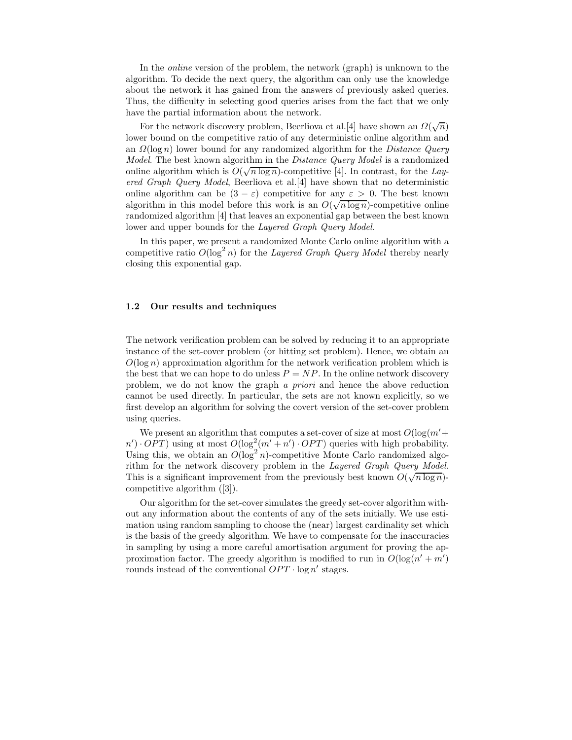In the online version of the problem, the network (graph) is unknown to the algorithm. To decide the next query, the algorithm can only use the knowledge about the network it has gained from the answers of previously asked queries. Thus, the difficulty in selecting good queries arises from the fact that we only have the partial information about the network.

For the network discovery problem, Beerliova et al.[4] have shown an  $\Omega(\sqrt{n})$ lower bound on the competitive ratio of any deterministic online algorithm and an  $\Omega(\log n)$  lower bound for any randomized algorithm for the *Distance Query* Model. The best known algorithm in the Distance Query Model is a randomized online algorithm which is  $O(\sqrt{n \log n})$ -competitive [4]. In contrast, for the Layered Graph Query Model, Beerliova et al.[4] have shown that no deterministic online algorithm can be  $(3 - \varepsilon)$  competitive for any  $\varepsilon > 0$ . The best known algorithm in this model before this work is an  $O(\sqrt{n \log n})$ -competitive online randomized algorithm [4] that leaves an exponential gap between the best known lower and upper bounds for the *Layered Graph Query Model*.

In this paper, we present a randomized Monte Carlo online algorithm with a competitive ratio  $O(\log^2 n)$  for the *Layered Graph Query Model* thereby nearly closing this exponential gap.

#### 1.2 Our results and techniques

The network verification problem can be solved by reducing it to an appropriate instance of the set-cover problem (or hitting set problem). Hence, we obtain an  $O(\log n)$  approximation algorithm for the network verification problem which is the best that we can hope to do unless  $P = NP$ . In the online network discovery problem, we do not know the graph a priori and hence the above reduction cannot be used directly. In particular, the sets are not known explicitly, so we first develop an algorithm for solving the covert version of the set-cover problem using queries.

We present an algorithm that computes a set-cover of size at most  $O(\log(m' +$  $n'$ )  $\cdot$  OPT) using at most  $O(\log^2(m' + n') \cdot OPT)$  queries with high probability. Using this, we obtain an  $O(\log^2 n)$ -competitive Monte Carlo randomized algorithm for the network discovery problem in the *Layered Graph Query Model*. This is a significant improvement from the previously best known  $O(\sqrt{n \log n})$ competitive algorithm ([3]).

Our algorithm for the set-cover simulates the greedy set-cover algorithm without any information about the contents of any of the sets initially. We use estimation using random sampling to choose the (near) largest cardinality set which is the basis of the greedy algorithm. We have to compensate for the inaccuracies in sampling by using a more careful amortisation argument for proving the approximation factor. The greedy algorithm is modified to run in  $O(\log(n' + m'))$ rounds instead of the conventional  $OPT \cdot \log n'$  stages.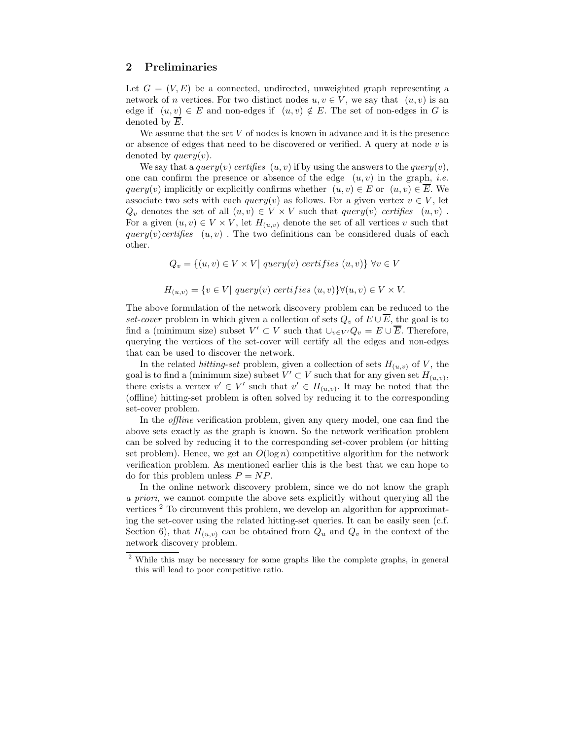# 2 Preliminaries

Let  $G = (V, E)$  be a connected, undirected, unweighted graph representing a network of n vertices. For two distinct nodes  $u, v \in V$ , we say that  $(u, v)$  is an edge if  $(u, v) \in E$  and non-edges if  $(u, v) \notin E$ . The set of non-edges in G is denoted by E.

We assume that the set  $V$  of nodes is known in advance and it is the presence or absence of edges that need to be discovered or verified. A query at node  $v$  is denoted by  $query(v)$ .

We say that a query(v) certifies  $(u, v)$  if by using the answers to the query(v), one can confirm the presence or absence of the edge  $(u, v)$  in the graph, *i.e.* query(v) implicitly or explicitly confirms whether  $(u, v) \in E$  or  $(u, v) \in \overline{E}$ . We associate two sets with each  $query(v)$  as follows. For a given vertex  $v \in V$ , let  $Q_v$  denotes the set of all  $(u, v) \in V \times V$  such that  $query(v)$  certifies  $(u, v)$ . For a given  $(u, v) \in V \times V$ , let  $H_{(u, v)}$  denote the set of all vertices v such that  $query(v)$  certifies  $(u, v)$ . The two definitions can be considered duals of each other.

 $Q_v = \{(u, v) \in V \times V \mid query(v) \text{ certifies } (u, v) \} \forall v \in V$ 

$$
H_{(u,v)} = \{v \in V | \text{ query}(v) \text{ certificates } (u, v)\} \forall (u, v) \in V \times V.
$$

The above formulation of the network discovery problem can be reduced to the set-cover problem in which given a collection of sets  $Q_v$  of  $E \cup \overline{E}$ , the goal is to find a (minimum size) subset  $V' \subset V$  such that  $\bigcup_{v \in V'} Q_v = E \cup \overline{E}$ . Therefore, querying the vertices of the set-cover will certify all the edges and non-edges that can be used to discover the network.

In the related *hitting-set* problem, given a collection of sets  $H_{(u,v)}$  of V, the goal is to find a (minimum size) subset  $V' \subset V$  such that for any given set  $H_{(u,v)}$ , there exists a vertex  $v' \in V'$  such that  $v' \in H_{(u,v)}$ . It may be noted that the (offline) hitting-set problem is often solved by reducing it to the corresponding set-cover problem.

In the offline verification problem, given any query model, one can find the above sets exactly as the graph is known. So the network verification problem can be solved by reducing it to the corresponding set-cover problem (or hitting set problem). Hence, we get an  $O(\log n)$  competitive algorithm for the network verification problem. As mentioned earlier this is the best that we can hope to do for this problem unless  $P = NP$ .

In the online network discovery problem, since we do not know the graph a priori, we cannot compute the above sets explicitly without querying all the vertices <sup>2</sup> To circumvent this problem, we develop an algorithm for approximating the set-cover using the related hitting-set queries. It can be easily seen (c.f. Section 6), that  $H_{(u,v)}$  can be obtained from  $Q_u$  and  $Q_v$  in the context of the network discovery problem.

<sup>2</sup> While this may be necessary for some graphs like the complete graphs, in general this will lead to poor competitive ratio.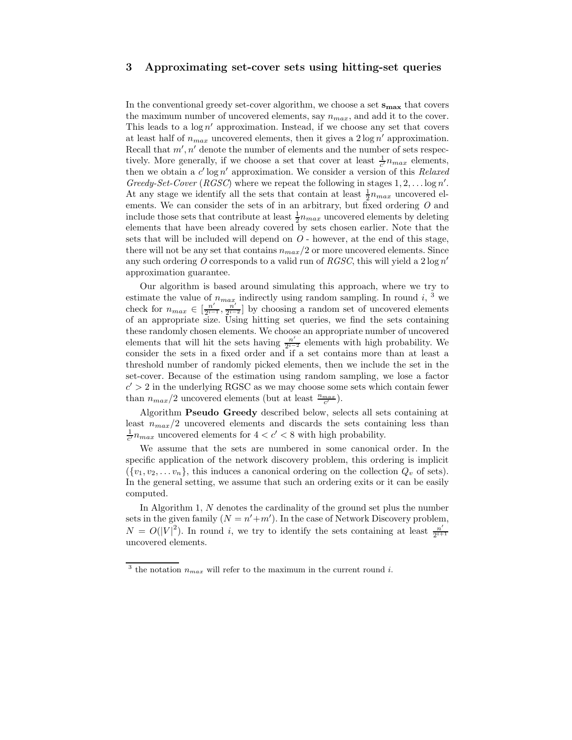## 3 Approximating set-cover sets using hitting-set queries

In the conventional greedy set-cover algorithm, we choose a set  $\bf{s}_{max}$  that covers the maximum number of uncovered elements, say  $n_{max}$ , and add it to the cover. This leads to a  $\log n'$  approximation. Instead, if we choose any set that covers at least half of  $n_{max}$  uncovered elements, then it gives a  $2 \log n'$  approximation. Recall that  $m', n'$  denote the number of elements and the number of sets respectively. More generally, if we choose a set that cover at least  $\frac{1}{c'}n_{max}$  elements, then we obtain a  $c' \log n'$  approximation. We consider a version of this Relaxed Greedy-Set-Cover (RGSC) where we repeat the following in stages  $1, 2, \ldots \log n'$ . At any stage we identify all the sets that contain at least  $\frac{1}{2}n_{max}$  uncovered elements. We can consider the sets of in an arbitrary, but fixed ordering O and include those sets that contribute at least  $\frac{1}{2}n_{max}$  uncovered elements by deleting elements that have been already covered by sets chosen earlier. Note that the sets that will be included will depend on  $O$  - however, at the end of this stage, there will not be any set that contains  $n_{max}/2$  or more uncovered elements. Since any such ordering O corresponds to a valid run of  $RGSC$ , this will yield a  $2 \log n'$ approximation guarantee.

Our algorithm is based around simulating this approach, where we try to estimate the value of  $n_{max}$  indirectly using random sampling. In round i, <sup>3</sup> we check for  $n_{max} \in \left[\frac{n'}{2^{i-1}}, \frac{n'}{2^{i-2}}\right]$  by choosing a random set of uncovered elements of an appropriate size. Using hitting set queries, we find the sets containing these randomly chosen elements. We choose an appropriate number of uncovered elements that will hit the sets having  $\frac{n'}{2^{i-2}}$  elements with high probability. We consider the sets in a fixed order and if a set contains more than at least a threshold number of randomly picked elements, then we include the set in the set-cover. Because of the estimation using random sampling, we lose a factor  $c' > 2$  in the underlying RGSC as we may choose some sets which contain fewer than  $n_{max}/2$  uncovered elements (but at least  $\frac{n_{max}}{c'}$ ).

Algorithm Pseudo Greedy described below, selects all sets containing at least  $n_{max}/2$  uncovered elements and discards the sets containing less than  $\frac{1}{c'} n_{max}$  uncovered elements for  $4 < c' < 8$  with high probability.

We assume that the sets are numbered in some canonical order. In the specific application of the network discovery problem, this ordering is implicit  $({v_1, v_2, \ldots v_n})$ , this induces a canonical ordering on the collection  $Q_v$  of sets). In the general setting, we assume that such an ordering exits or it can be easily computed.

In Algorithm 1, N denotes the cardinality of the ground set plus the number sets in the given family  $(N = n' + m')$ . In the case of Network Discovery problem,  $N = O(|V|^2)$ . In round i, we try to identify the sets containing at least  $\frac{n'}{2^{i+1}}$  $2^{i+1}$ uncovered elements.

<sup>&</sup>lt;sup>3</sup> the notation  $n_{max}$  will refer to the maximum in the current round *i*.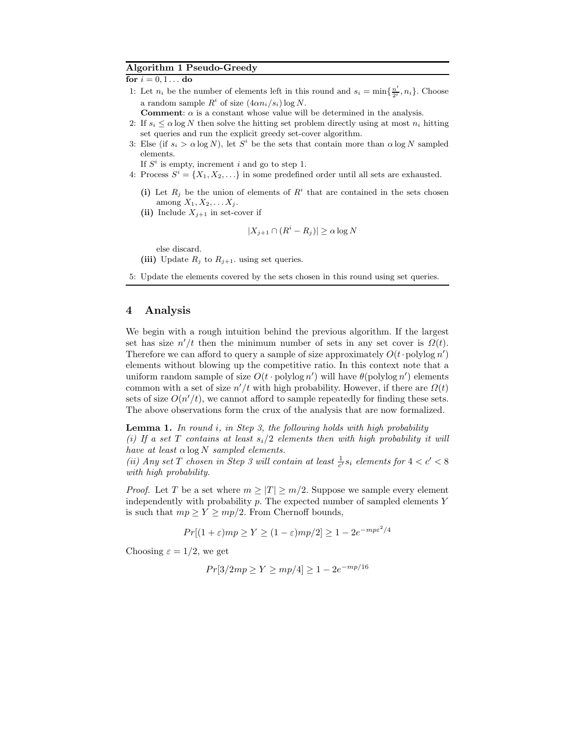## Algorithm 1 Pseudo-Greedy

for  $i = 0, 1...$  do

1: Let  $n_i$  be the number of elements left in this round and  $s_i = \min\{\frac{n'}{2^i}\}$  $\frac{n'}{2^i}, n_i$ . Choose a random sample  $R^i$  of size  $(4\alpha n_i/s_i)$  log N.

Comment:  $\alpha$  is a constant whose value will be determined in the analysis.

- 2: If  $s_i \leq \alpha \log N$  then solve the hitting set problem directly using at most  $n_i$  hitting set queries and run the explicit greedy set-cover algorithm.
- 3: Else (if  $s_i > \alpha \log N$ ), let  $S^i$  be the sets that contain more than  $\alpha \log N$  sampled elements.

If  $S^i$  is empty, increment i and go to step 1.

- 4: Process  $S^i = \{X_1, X_2, \ldots\}$  in some predefined order until all sets are exhausted.
	- (i) Let  $R_j$  be the union of elements of  $R^i$  that are contained in the sets chosen among  $X_1, X_2, \ldots X_j$ .
	- (ii) Include  $X_{j+1}$  in set-cover if

$$
|X_{j+1} \cap (R^i - R_j)| \ge \alpha \log N
$$

else discard.

(iii) Update  $R_j$  to  $R_{j+1}$ . using set queries.

5: Update the elements covered by the sets chosen in this round using set queries.

#### 4 Analysis

We begin with a rough intuition behind the previous algorithm. If the largest set has size  $n'/t$  then the minimum number of sets in any set cover is  $\Omega(t)$ . Therefore we can afford to query a sample of size approximately  $O(t \cdot \text{polylog } n')$ elements without blowing up the competitive ratio. In this context note that a uniform random sample of size  $O(t \cdot \text{polylog } n')$  will have  $\theta(\text{polylog } n')$  elements common with a set of size  $n'/t$  with high probability. However, if there are  $\Omega(t)$ sets of size  $O(n'/t)$ , we cannot afford to sample repeatedly for finding these sets. The above observations form the crux of the analysis that are now formalized.

**Lemma 1.** In round i, in Step 3, the following holds with high probability (i) If a set T contains at least  $s_i/2$  elements then with high probability it will have at least  $\alpha \log N$  sampled elements.

(ii) Any set T chosen in Step 3 will contain at least  $\frac{1}{c'}s_i$  elements for  $4 < c' < 8$ with high probability.

*Proof.* Let T be a set where  $m \geq |T| \geq m/2$ . Suppose we sample every element independently with probability  $p$ . The expected number of sampled elements  $Y$ is such that  $mp \ge Y \ge mp/2$ . From Chernoff bounds,

$$
Pr[(1+\varepsilon)mp \ge Y \ge (1-\varepsilon)mp/2] \ge 1 - 2e^{-mp\varepsilon^2/4}
$$

Choosing  $\varepsilon = 1/2$ , we get

$$
Pr[3/2mp \ge Y \ge mp/4] \ge 1 - 2e^{-mp/16}
$$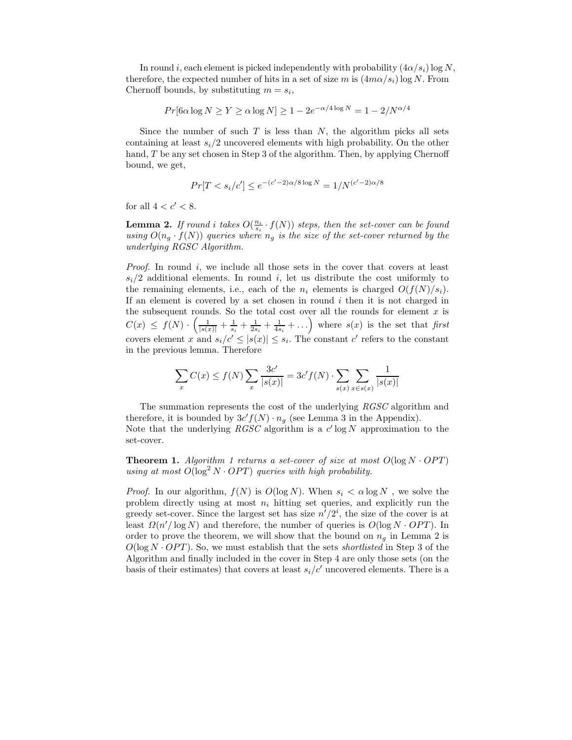In round i, each element is picked independently with probability  $(4\alpha/s_i)$  log N, therefore, the expected number of hits in a set of size m is  $(4m\alpha/s_i)$  log N. From Chernoff bounds, by substituting  $m = s_i$ ,

$$
Pr[6\alpha \log N \ge Y \ge \alpha \log N] \ge 1 - 2e^{-\alpha/4 \log N} = 1 - 2/N^{\alpha/4}
$$

Since the number of such  $T$  is less than  $N$ , the algorithm picks all sets containing at least  $s_i/2$  uncovered elements with high probability. On the other hand, T be any set chosen in Step 3 of the algorithm. Then, by applying Chernoff bound, we get,

$$
Pr[T < s_i/c'] \leq e^{-(c'-2)\alpha/8\log N} = 1/N^{(c'-2)\alpha/8}
$$

for all  $4 < c' < 8$ .

**Lemma 2.** If round i takes  $O(\frac{n_i}{s_i} \cdot f(N))$  steps, then the set-cover can be found using  $O(n_g \cdot f(N))$  queries where  $n_g$  is the size of the set-cover returned by the underlying RGSC Algorithm.

*Proof.* In round  $i$ , we include all those sets in the cover that covers at least  $s_i/2$  additional elements. In round i, let us distribute the cost uniformly to the remaining elements, i.e., each of the  $n_i$  elements is charged  $O(f(N)/s_i)$ . If an element is covered by a set chosen in round  $i$  then it is not charged in the subsequent rounds. So the total cost over all the rounds for element  $x$  is  $C(x) \leq f(N) \cdot \left( \frac{1}{|s(x)|} + \frac{1}{s_i} + \frac{1}{2s_i} + \frac{1}{4s_i} + \ldots \right)$  where  $s(x)$  is the set that first covers element x and  $s_i/c' \leq |s(x)| \leq s_i$ . The constant c' refers to the constant in the previous lemma. Therefore

$$
\sum_{x} C(x) \le f(N) \sum_{x} \frac{3c'}{|s(x)|} = 3c' f(N) \cdot \sum_{s(x)} \sum_{x \in s(x)} \frac{1}{|s(x)|}
$$

The summation represents the cost of the underlying RGSC algorithm and therefore, it is bounded by  $3c' f(N) \cdot n_g$  (see Lemma 3 in the Appendix). Note that the underlying  $RGSC$  algorithm is a  $c' \log N$  approximation to the set-cover.

**Theorem 1.** Algorithm 1 returns a set-cover of size at most  $O(\log N \cdot OPT)$ using at most  $O(\log^2 N \cdot OPT)$  queries with high probability.

*Proof.* In our algorithm,  $f(N)$  is  $O(\log N)$ . When  $s_i < \alpha \log N$ , we solve the problem directly using at most  $n_i$  hitting set queries, and explicitly run the greedy set-cover. Since the largest set has size  $n'/2^i$ , the size of the cover is at least  $\Omega(n'/\log N)$  and therefore, the number of queries is  $O(\log N \cdot OPT)$ . In order to prove the theorem, we will show that the bound on  $n_a$  in Lemma 2 is  $O(\log N \cdot OPT)$ . So, we must establish that the sets *shortlisted* in Step 3 of the Algorithm and finally included in the cover in Step 4 are only those sets (on the basis of their estimates) that covers at least  $s_i/c'$  uncovered elements. There is a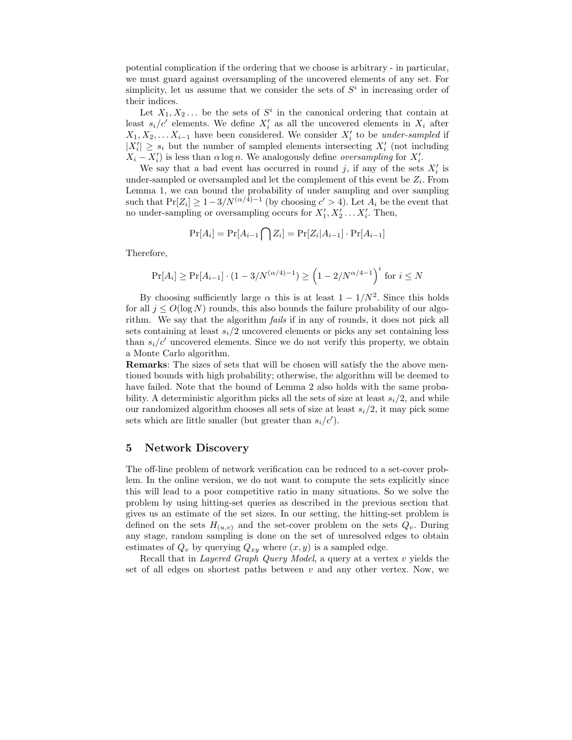potential complication if the ordering that we choose is arbitrary - in particular, we must guard against oversampling of the uncovered elements of any set. For simplicity, let us assume that we consider the sets of  $S<sup>i</sup>$  in increasing order of their indices.

Let  $X_1, X_2, \ldots$  be the sets of  $S^i$  in the canonical ordering that contain at least  $s_i/c'$  elements. We define  $X'_i$  as all the uncovered elements in  $X_i$  after  $X_1, X_2, \ldots X_{i-1}$  have been considered. We consider  $X'_i$  to be under-sampled if  $|X'_i| \geq s_i$  but the number of sampled elements intersecting  $X'_i$  (not including  $X_i - X'_i$  is less than  $\alpha \log n$ . We analogously define *oversampling* for  $X'_i$ .

We say that a bad event has occurred in round j, if any of the sets  $X'_{i}$  is under-sampled or oversampled and let the complement of this event be  $Z_i$ . From Lemma 1, we can bound the probability of under sampling and over sampling such that  $Pr[Z_i] \geq 1-3/N^{(\alpha/4)-1}$  (by choosing  $c' > 4$ ). Let  $A_i$  be the event that no under-sampling or oversampling occurs for  $X'_1, X'_2 \ldots X'_i$ . Then,

$$
Pr[A_i] = Pr[A_{i-1} \cap Z_i] = Pr[Z_i | A_{i-1}] \cdot Pr[A_{i-1}]
$$

Therefore,

$$
\Pr[A_i] \ge \Pr[A_{i-1}] \cdot (1 - 3/N^{(\alpha/4)-1}) \ge \left(1 - 2/N^{\alpha/4-1}\right)^i
$$
 for  $i \le N$ 

By choosing sufficiently large  $\alpha$  this is at least  $1 - 1/N^2$ . Since this holds for all  $j \leq O(\log N)$  rounds, this also bounds the failure probability of our algorithm. We say that the algorithm fails if in any of rounds, it does not pick all sets containing at least  $s_i/2$  uncovered elements or picks any set containing less than  $s_i/c'$  uncovered elements. Since we do not verify this property, we obtain a Monte Carlo algorithm.

Remarks: The sizes of sets that will be chosen will satisfy the the above mentioned bounds with high probability; otherwise, the algorithm will be deemed to have failed. Note that the bound of Lemma 2 also holds with the same probability. A deterministic algorithm picks all the sets of size at least  $s_i/2$ , and while our randomized algorithm chooses all sets of size at least  $s_i/2$ , it may pick some sets which are little smaller (but greater than  $s_i/c'$ ).

### 5 Network Discovery

The off-line problem of network verification can be reduced to a set-cover problem. In the online version, we do not want to compute the sets explicitly since this will lead to a poor competitive ratio in many situations. So we solve the problem by using hitting-set queries as described in the previous section that gives us an estimate of the set sizes. In our setting, the hitting-set problem is defined on the sets  $H_{(u,v)}$  and the set-cover problem on the sets  $Q_v$ . During any stage, random sampling is done on the set of unresolved edges to obtain estimates of  $Q_v$  by querying  $Q_{xy}$  where  $(x, y)$  is a sampled edge.

Recall that in Layered Graph Query Model, a query at a vertex v yields the set of all edges on shortest paths between  $v$  and any other vertex. Now, we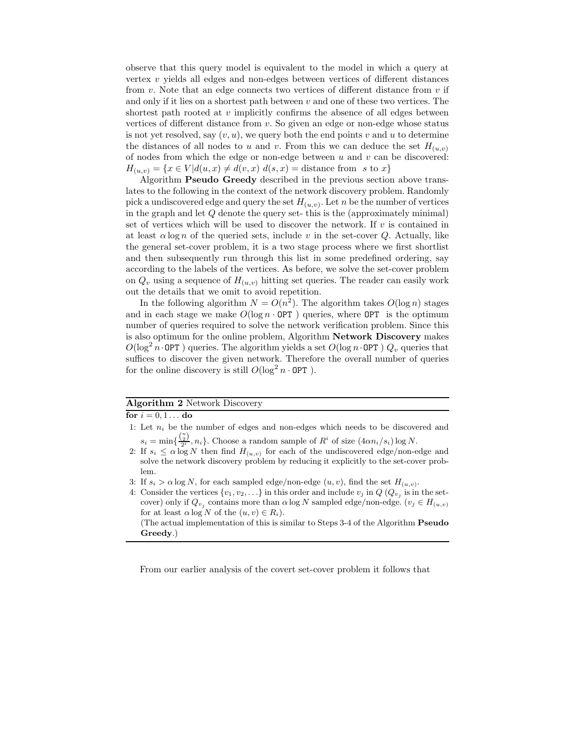observe that this query model is equivalent to the model in which a query at vertex v yields all edges and non-edges between vertices of different distances from v. Note that an edge connects two vertices of different distance from v if and only if it lies on a shortest path between  $v$  and one of these two vertices. The shortest path rooted at  $v$  implicitly confirms the absence of all edges between vertices of different distance from v. So given an edge or non-edge whose status is not yet resolved, say  $(v, u)$ , we query both the end points v and u to determine the distances of all nodes to u and v. From this we can deduce the set  $H_{(u,v)}$ of nodes from which the edge or non-edge between  $u$  and  $v$  can be discovered:  $H_{(u,v)} = \{x \in V | d(u,x) \neq d(v,x) d(s,x) = \text{distance from } s \text{ to } x\}$ 

Algorithm Pseudo Greedy described in the previous section above translates to the following in the context of the network discovery problem. Randomly pick a undiscovered edge and query the set  $H_{(u,v)}$ . Let n be the number of vertices in the graph and let Q denote the query set- this is the (approximately minimal) set of vertices which will be used to discover the network. If  $v$  is contained in at least  $\alpha \log n$  of the queried sets, include v in the set-cover Q. Actually, like the general set-cover problem, it is a two stage process where we first shortlist and then subsequently run through this list in some predefined ordering, say according to the labels of the vertices. As before, we solve the set-cover problem on  $Q_v$  using a sequence of  $H_{(u,v)}$  hitting set queries. The reader can easily work out the details that we omit to avoid repetition.

In the following algorithm  $N = O(n^2)$ . The algorithm takes  $O(\log n)$  stages and in each stage we make  $O(\log n \cdot \text{OPT})$  queries, where **OPT** is the optimum number of queries required to solve the network verification problem. Since this is also optimum for the online problem, Algorithm Network Discovery makes  $O(\log^2 n \cdot \texttt{OPT})$  queries. The algorithm yields a set  $O(\log n \cdot \texttt{OPT})$   $Q_v$  queries that suffices to discover the given network. Therefore the overall number of queries for the online discovery is still  $O(\log^2 n \cdot \text{OPT})$ .

#### Algorithm 2 Network Discovery

for  $i = 0, 1...$  do

- 1: Let  $n_i$  be the number of edges and non-edges which needs to be discovered and  $s_i = \min\{\frac{\binom{n}{2}}{2^i}, n_i\}.$  Choose a random sample of  $R^i$  of size  $(4\alpha n_i/s_i) \log N$ .
- 2: If  $s_i \leq \alpha \log N$  then find  $H_{(u,v)}$  for each of the undiscovered edge/non-edge and solve the network discovery problem by reducing it explicitly to the set-cover problem.
- 3: If  $s_i > \alpha \log N$ , for each sampled edge/non-edge  $(u, v)$ , find the set  $H_{(u,v)}$ .
- 4: Consider the vertices  $\{v_1, v_2, \ldots\}$  in this order and include  $v_j$  in  $Q$   $(Q_{v_j})$  is in the setcover) only if  $Q_{v_j}$  contains more than  $\alpha \log N$  sampled edge/non-edge.  $(v_j \in H_{(u,v)})$ for at least  $\alpha \log N$  of the  $(u, v) \in R_i$ ). (The actual implementation of this is similar to Steps 3-4 of the Algorithm Pseudo Greedy.)

From our earlier analysis of the covert set-cover problem it follows that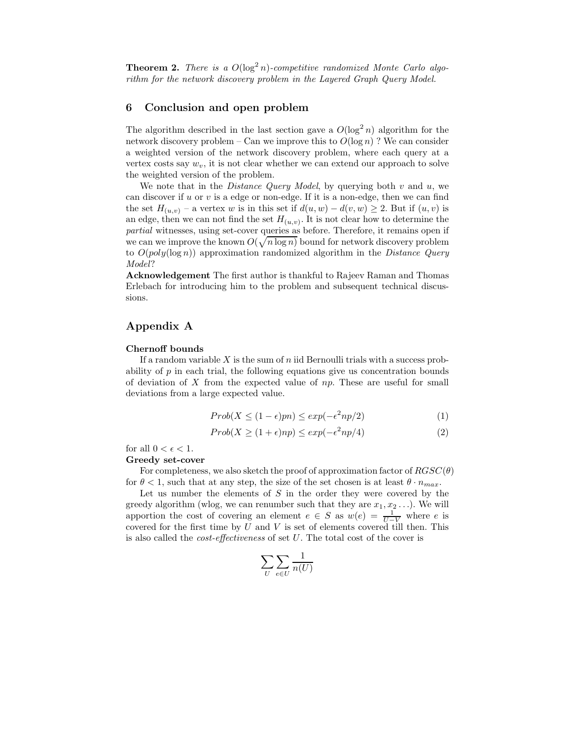**Theorem 2.** There is a  $O(log^2 n)$ -competitive randomized Monte Carlo algorithm for the network discovery problem in the Layered Graph Query Model.

## 6 Conclusion and open problem

The algorithm described in the last section gave a  $O(\log^2 n)$  algorithm for the network discovery problem – Can we improve this to  $O(\log n)$ ? We can consider a weighted version of the network discovery problem, where each query at a vertex costs say  $w_v$ , it is not clear whether we can extend our approach to solve the weighted version of the problem.

We note that in the *Distance Query Model*, by querying both  $v$  and  $u$ , we can discover if  $u$  or  $v$  is a edge or non-edge. If it is a non-edge, then we can find the set  $H_{(u,v)}$  – a vertex w is in this set if  $d(u, w) - d(v, w) \geq 2$ . But if  $(u, v)$  is an edge, then we can not find the set  $H_{(u,v)}$ . It is not clear how to determine the partial witnesses, using set-cover queries as before. Therefore, it remains open if we can we improve the known  $O(\sqrt{n \log n})$  bound for network discovery problem to  $O(poly(\log n))$  approximation randomized algorithm in the *Distance Query* Model?

Acknowledgement The first author is thankful to Rajeev Raman and Thomas Erlebach for introducing him to the problem and subsequent technical discussions.

# Appendix A

#### Chernoff bounds

If a random variable  $X$  is the sum of  $n$  iid Bernoulli trials with a success probability of  $p$  in each trial, the following equations give us concentration bounds of deviation of X from the expected value of  $np$ . These are useful for small deviations from a large expected value.

$$
Prob(X \le (1 - \epsilon)pn) \le exp(-\epsilon^2 np/2)
$$
 (1)

$$
Prob(X \ge (1 + \epsilon)np) \le exp(-\epsilon^2 np/4)
$$
 (2)

for all  $0 < \epsilon < 1$ .

#### Greedy set-cover

For completeness, we also sketch the proof of approximation factor of  $RGSC(\theta)$ for  $\theta$  < 1, such that at any step, the size of the set chosen is at least  $\theta \cdot n_{max}$ .

Let us number the elements of  $S$  in the order they were covered by the greedy algorithm (wlog, we can renumber such that they are  $x_1, x_2 \ldots$ ). We will apportion the cost of covering an element  $e \in S$  as  $w(e) = \frac{1}{U-V}$  where e is covered for the first time by  $U$  and  $V$  is set of elements covered till then. This is also called the cost-effectiveness of set U. The total cost of the cover is

$$
\sum_{U} \sum_{e \in U} \frac{1}{n(U)}
$$